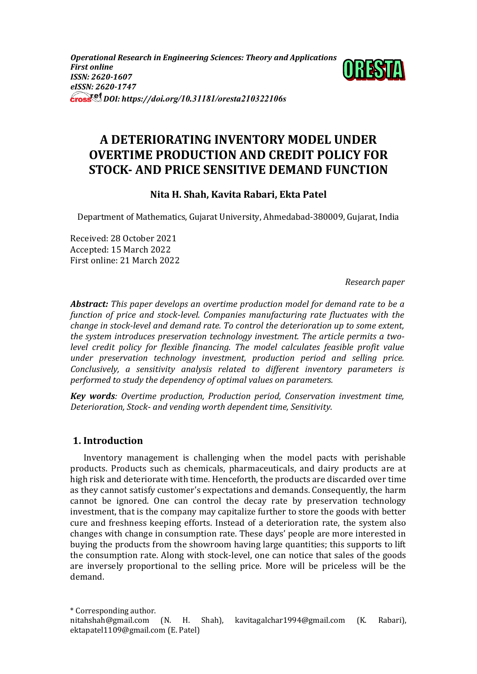*Operational Research in Engineering Sciences: Theory and Applications First online ISSN: 2620-1607 eISSN: 2620-1747 DOI: https://doi.org/10.31181/oresta210322106s*



# **A DETERIORATING INVENTORY MODEL UNDER OVERTIME PRODUCTION AND CREDIT POLICY FOR STOCK- AND PRICE SENSITIVE DEMAND FUNCTION**

# **Nita H. Shah, Kavita Rabari, Ekta Patel**

Department of Mathematics, Gujarat University, Ahmedabad-380009, Gujarat, India

Received: 28 October 2021 Accepted: 15 March 2022 First online: 21 March 2022

*Research paper*

*Abstract: This paper develops an overtime production model for demand rate to be a function of price and stock-level. Companies manufacturing rate fluctuates with the change in stock-level and demand rate. To control the deterioration up to some extent, the system introduces preservation technology investment. The article permits a twolevel credit policy for flexible financing. The model calculates feasible profit value under preservation technology investment, production period and selling price. Conclusively, a sensitivity analysis related to different inventory parameters is performed to study the dependency of optimal values on parameters.*

*Key words: Overtime production, Production period, Conservation investment time, Deterioration, Stock- and vending worth dependent time, Sensitivity.*

# **1. Introduction**

Inventory management is challenging when the model pacts with perishable products. Products such as chemicals, pharmaceuticals, and dairy products are at high risk and deteriorate with time. Henceforth, the products are discarded over time as they cannot satisfy customer's expectations and demands. Consequently, the harm cannot be ignored. One can control the decay rate by preservation technology investment, that is the company may capitalize further to store the goods with better cure and freshness keeping efforts. Instead of a deterioration rate, the system also changes with change in consumption rate. These days' people are more interested in buying the products from the showroom having large quantities; this supports to lift the consumption rate. Along with stock-level, one can notice that sales of the goods are inversely proportional to the selling price. More will be priceless will be the demand.

\* Corresponding author. nitahshah@gmail.com (N. H. Shah), kavitagalchar1994@gmail.com (K. Rabari), ektapatel1109@gmail.com (E. Patel)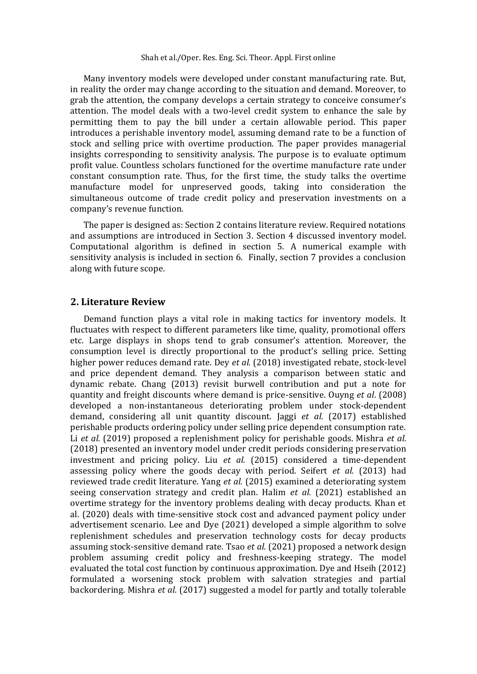Many inventory models were developed under constant manufacturing rate. But, in reality the order may change according to the situation and demand. Moreover, to grab the attention, the company develops a certain strategy to conceive consumer's attention. The model deals with a two-level credit system to enhance the sale by permitting them to pay the bill under a certain allowable period. This paper introduces a perishable inventory model, assuming demand rate to be a function of stock and selling price with overtime production. The paper provides managerial insights corresponding to sensitivity analysis. The purpose is to evaluate optimum profit value. Countless scholars functioned for the overtime manufacture rate under constant consumption rate. Thus, for the first time, the study talks the overtime manufacture model for unpreserved goods, taking into consideration the simultaneous outcome of trade credit policy and preservation investments on a company's revenue function.

The paper is designed as: Section 2 contains literature review. Required notations and assumptions are introduced in Section 3. Section 4 discussed inventory model. Computational algorithm is defined in section 5. A numerical example with sensitivity analysis is included in section 6. Finally, section 7 provides a conclusion along with future scope.

#### **2. Literature Review**

Demand function plays a vital role in making tactics for inventory models. It fluctuates with respect to different parameters like time, quality, promotional offers etc. Large displays in shops tend to grab consumer's attention. Moreover, the consumption level is directly proportional to the product's selling price. Setting higher power reduces demand rate. Dey *et al.* (2018) investigated rebate, stock-level and price dependent demand. They analysis a comparison between static and dynamic rebate. Chang (2013) revisit burwell contribution and put a note for quantity and freight discounts where demand is price-sensitive. Ouyng *et al*. (2008) developed a non-instantaneous deteriorating problem under stock-dependent demand, considering all unit quantity discount. Jaggi *et al*. (2017) established perishable products ordering policy under selling price dependent consumption rate. Li *et al.* (2019) proposed a replenishment policy for perishable goods. Mishra *et al.* (2018) presented an inventory model under credit periods considering preservation investment and pricing policy. Liu *et al.* (2015) considered a time-dependent assessing policy where the goods decay with period. Seifert *et al.* (2013) had reviewed trade credit literature. Yang *et al.* (2015) examined a deteriorating system seeing conservation strategy and credit plan. Halim *et al.* (2021) established an overtime strategy for the inventory problems dealing with decay products. Khan et al. (2020) deals with time-sensitive stock cost and advanced payment policy under advertisement scenario. Lee and Dye (2021) developed a simple algorithm to solve replenishment schedules and preservation technology costs for decay products assuming stock-sensitive demand rate. Tsao *et al.* (2021) proposed a network design problem assuming credit policy and freshness-keeping strategy. The model evaluated the total cost function by continuous approximation. Dye and Hseih (2012) formulated a worsening stock problem with salvation strategies and partial backordering. Mishra *et al*. (2017) suggested a model for partly and totally tolerable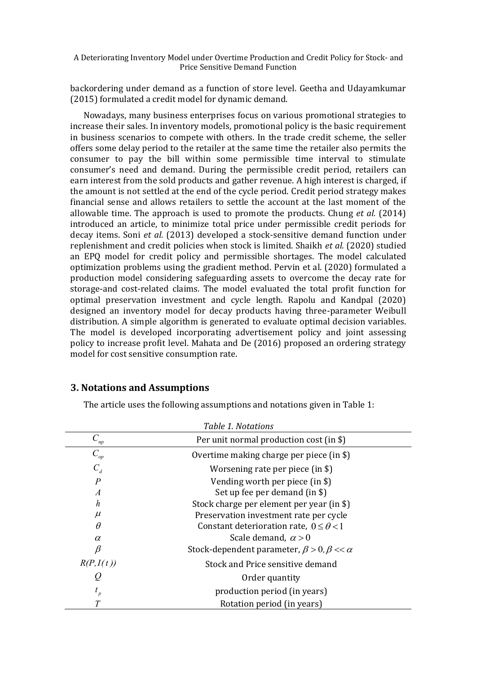backordering under demand as a function of store level. Geetha and Udayamkumar (2015) formulated a credit model for dynamic demand.

Nowadays, many business enterprises focus on various promotional strategies to increase their sales. In inventory models, promotional policy is the basic requirement in business scenarios to compete with others. In the trade credit scheme, the seller offers some delay period to the retailer at the same time the retailer also permits the consumer to pay the bill within some permissible time interval to stimulate consumer's need and demand. During the permissible credit period, retailers can earn interest from the sold products and gather revenue. A high interest is charged, if the amount is not settled at the end of the cycle period. Credit period strategy makes financial sense and allows retailers to settle the account at the last moment of the allowable time. The approach is used to promote the products. Chung *et al.* (2014) introduced an article, to minimize total price under permissible credit periods for decay items. Soni *et al.* (2013) developed a stock-sensitive demand function under replenishment and credit policies when stock is limited. Shaikh *et al.* (2020) studied an EPQ model for credit policy and permissible shortages. The model calculated optimization problems using the gradient method. Pervin et al. (2020) formulated a production model considering safeguarding assets to overcome the decay rate for storage-and cost-related claims. The model evaluated the total profit function for optimal preservation investment and cycle length. Rapolu and Kandpal (2020) designed an inventory model for decay products having three-parameter Weibull distribution. A simple algorithm is generated to evaluate optimal decision variables. The model is developed incorporating advertisement policy and joint assessing policy to increase profit level. Mahata and De (2016) proposed an ordering strategy model for cost sensitive consumption rate.

## **3. Notations and Assumptions**

The article uses the following assumptions and notations given in Table 1:

| Table 1. Notations |                                                            |  |  |  |  |
|--------------------|------------------------------------------------------------|--|--|--|--|
| $C_{\it np}$       | Per unit normal production cost (in \$)                    |  |  |  |  |
| $C_{\mathit{op}}$  | Overtime making charge per piece (in \$)                   |  |  |  |  |
| $C_d$              | Worsening rate per piece (in \$)                           |  |  |  |  |
| $\overline{P}$     | Vending worth per piece (in \$)                            |  |  |  |  |
| $\overline{A}$     | Set up fee per demand (in \$)                              |  |  |  |  |
| h                  | Stock charge per element per year (in \$)                  |  |  |  |  |
| $\mu$              | Preservation investment rate per cycle                     |  |  |  |  |
| $\theta$           | Constant deterioration rate, $0 \le \theta < 1$            |  |  |  |  |
| $\alpha$           | Scale demand, $\alpha > 0$                                 |  |  |  |  |
| ß                  | Stock-dependent parameter, $\beta > 0$ , $\beta << \alpha$ |  |  |  |  |
| R(P, I(t))         | Stock and Price sensitive demand                           |  |  |  |  |
| $\varrho$          | Order quantity                                             |  |  |  |  |
| $t_{p}$            | production period (in years)                               |  |  |  |  |
|                    | Rotation period (in years)                                 |  |  |  |  |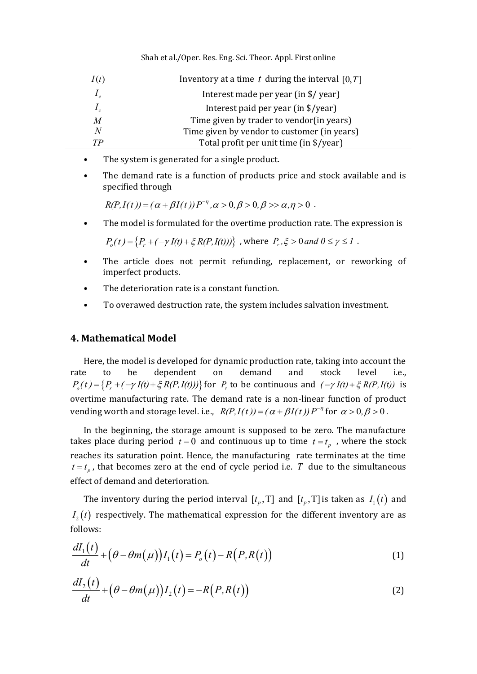| I(t) | Inventory at a time t during the interval $[0, T]$ |
|------|----------------------------------------------------|
|      | Interest made per year (in \$/ year)               |
|      | Interest paid per year (in \$/year)                |
| M    | Time given by trader to vendor(in years)           |
| N    | Time given by vendor to customer (in years)        |
| TР   | Total profit per unit time (in \$/year)            |

Shah et al./Oper. Res. Eng. Sci. Theor. Appl. First online

- The system is generated for a single product.
- The demand rate is a function of products price and stock available and is specified through *R(P,I(t))* =  $(\alpha + \beta I(t))P^{-\eta}, \alpha > 0, \beta > 0, \beta > \alpha, \eta > 0$ . hrough $=$   $(\alpha + \beta I(t))P^{-\eta}$  ,  $\alpha$   $>$   $0$  ,  $\beta$   $>$   $0$  ,  $\beta$   $>$   $\alpha$  ,  $\eta$   $>$   $0$  .

−

• The model is formulated for the overtime production rate. The expression is

 $P_o(t) = \{P_r + (-\gamma I(t) + \xi R(P, I(t)))\}$ , where  $P_r, \xi > 0$  and  $0 \le \gamma \le 1$ .

- The article does not permit refunding, replacement, or reworking of imperfect products.
- The deterioration rate is a constant function.
- To overawed destruction rate, the system includes salvation investment.

## **4. Mathematical Model**

Here, the model is developed for dynamic production rate, taking into account the rate to be dependent on demand and stock level i.e., are to be dependent on demand and stock level i.e.,<br>  $P_o(t) = \{P_r + (-\gamma I(t) + \xi R(P, I(t)))\}$  for  $P_r$  to be continuous and  $(-\gamma I(t) + \xi R(P, I(t))$  is overtime manufacturing rate. The demand rate is a non-linear function of product vending worth and storage level. i.e.,  $R(P, I(t)) = (\alpha + \beta I(t))P^{-\eta}$  for  $\alpha > 0, \beta > 0$ .

In the beginning, the storage amount is supposed to be zero. The manufacture takes place during period  $t = 0$  and continuous up to time  $t = t_p$ , where the stock reaches its saturation point. Hence, the manufacturing rate terminates at the time  $t = t_p$ , that becomes zero at the end of cycle period i.e. T due to the simultaneous effect of demand and deterioration.

The inventory during the period interval  $[t_p, T]$  and  $[t_p, T]$  is taken as  $I_1(t)$  and  $I_2(t)$  respectively. The mathematical expression for the different inventory are as

follows:  
\n
$$
\frac{dI_1(t)}{dt} + \left(\theta - \theta m(\mu)\right)I_1(t) = P_o(t) - R\left(P, R(t)\right)
$$
\n(1)

$$
\frac{dI_2(t)}{dt} + \left(\theta - \theta m(\mu)\right)I_2(t) = -R\big(P, R(t)\big) \tag{2}
$$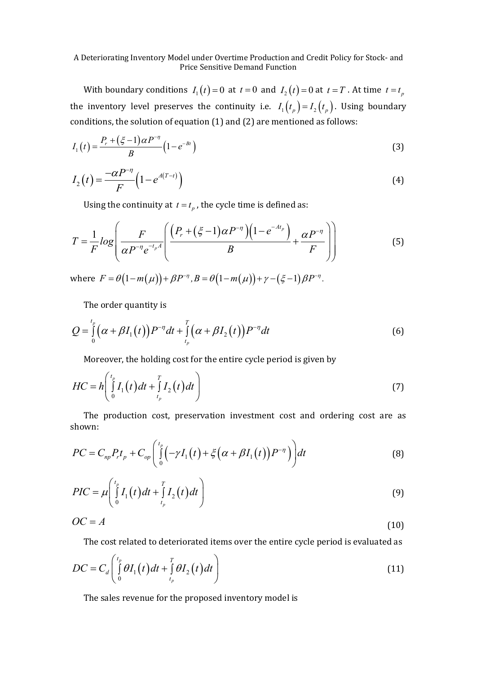With boundary conditions  $I_1(t) = 0$  at  $t = 0$  and  $I_2(t) = 0$  at  $t = T$ . At time  $t = t_p$ the inventory level preserves the continuity i.e.  $I_1(t_p) = I_2(t_p)$ . Using boundary conditions, the solution of equation (1) and (2) are mentioned as follows:

$$
I_1(t) = \frac{P_r + (\xi - 1)\alpha P^{-\eta}}{B} \left(1 - e^{-Bt}\right)
$$
\n(3)

$$
I_2(t) = \frac{-\alpha P^{-\eta}}{F} \left( 1 - e^{A(T-t)} \right)
$$
\n(4)

Using the continuity at 
$$
t = t_p
$$
, the cycle time is defined as:  
\n
$$
T = \frac{1}{F} \log \left( \frac{F}{\alpha P^{-\eta} e^{-t_p A}} \left( \frac{\left( P_r + (\xi - 1) \alpha P^{-\eta} \right) \left( 1 - e^{-At_p} \right)}{B} + \frac{\alpha P^{-\eta}}{F} \right) \right)
$$
\n(5)

where  $F = \theta(1-m(\mu)) + \beta P^{-\eta}, B = \theta(1-m(\mu)) + \gamma - (\xi - 1)\beta P^{-\eta}.$ 

The order quantity is

$$
Q = \int_{0}^{t_p} \left( \alpha + \beta I_1(t) \right) P^{-\eta} dt + \int_{t_p}^{T} \left( \alpha + \beta I_2(t) \right) P^{-\eta} dt \tag{6}
$$

Moreover, the holding cost for the entire cycle period is given by

$$
HC = h \left( \int_{0}^{t_p} I_1(t) dt + \int_{t_p}^{T} I_2(t) dt \right)
$$
 (7)

The production cost, preservation investment cost and ordering cost are as shown:

shown:  
\n
$$
PC = C_{np} P_r t_p + C_{op} \left( \int_0^{t_p} \left( -\gamma I_1(t) + \xi \left( \alpha + \beta I_1(t) \right) P^{-\eta} \right) \right) dt
$$
\n(8)

$$
PIC = \mu \left( \int_{0}^{t_p} I_1(t) dt + \int_{t_p}^{T} I_2(t) dt \right)
$$
 (9)

$$
OC = A \tag{10}
$$

The cost related to deteriorated items over the entire cycle period is evaluated as  
\n
$$
DC = C_d \left( \int_{0}^{t_p} \theta I_1(t) dt + \int_{t_p}^{T} \theta I_2(t) dt \right)
$$
\n(11)

The sales revenue for the proposed inventory model is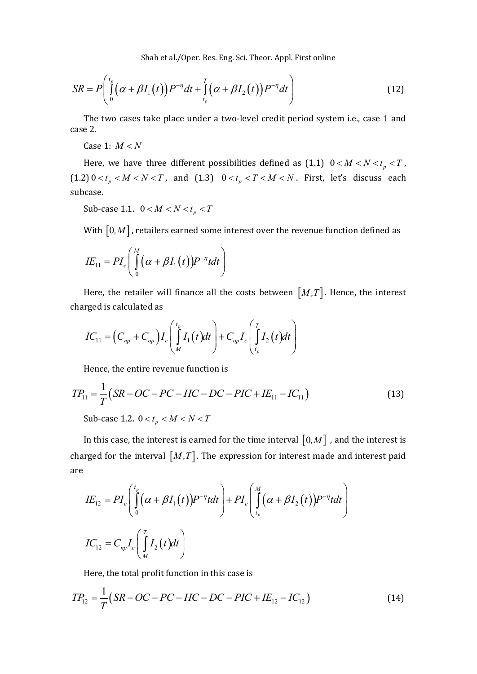Shah et al./Oper. Res. Eng. Sci. Theor. Appl. First online  
\n
$$
SR = P\left(\int_{0}^{t_p} \left(\alpha + \beta I_1(t)\right) P^{-\eta} dt + \int_{t_p}^{T} \left(\alpha + \beta I_2(t)\right) P^{-\eta} dt\right)
$$
\n(12)

The two cases take place under a two-level credit period system i.e., case 1 and case 2.

Case 1:  $M < N$ 

Here, we have three different possibilities defined as  $(1.1)$   $0 < M < N < t_p < T$ ,  $(1.2)$   $0 < t_p < M < N < T$ , and  $(1.3)$   $0 < t_p < T < M < N$ . First, let's discuss each subcase.

Sub-case 1.1.  $0 < M < N < t_p < T$ 

With  $\left[0,M\right]$  , retailers earned some interest over the revenue function defined as

$$
IE_{11} = PI_e \left( \int\limits_0^M (\alpha + \beta I_1(t)) P^{-\eta} t dt \right)
$$

Here, the retailer will finance all the costs between  $[M, T]$ . Hence, the interest charged is calculated as

reged is calculated as  
\n
$$
IC_{11} = (C_{np} + C_{op})I_c \left( \int_M^{t_p} I_1(t)dt \right) + C_{op}I_c \left( \int_{t_p}^T I_2(t)dt \right)
$$

Hence, the entire revenue function is  
\n
$$
TP_{11} = \frac{1}{T} (SR - OC - PC - HC - DC - PIC + IE_{11} - IC_{11})
$$
\nSub-case 1.2.  $0 < t_p < M < N < T$  (13)

In this case, the interest is earned for the time interval  $[0,M]$  , and the interest is are  $\left(\int_{0}^{t_{p}} (\alpha + \beta I(t))p^{-\eta} t dt\right) + PI\left(\int_{0}^{M} (\alpha + \beta I(t))p^{-\eta} t dt\right)$ 

charged for the interval 
$$
[M,T]
$$
. The expression for interest made and interest paid  
\nare\n
$$
IE_{12} = PI_e \left( \int_0^{t_p} (\alpha + \beta I_1(t)) P^{-\eta} t dt \right) + PI_e \left( \int_{t_p}^{M} (\alpha + \beta I_2(t)) P^{-\eta} t dt \right)
$$
\n
$$
IC_{12} = C_{np} I_c \left( \int_M^T I_2(t) dt \right)
$$

Here, the total profit function in this case is  
\n
$$
TP_{12} = \frac{1}{T} (SR - OC - PC - HC - DC - PIC + IE_{12} - IC_{12})
$$
\n(14)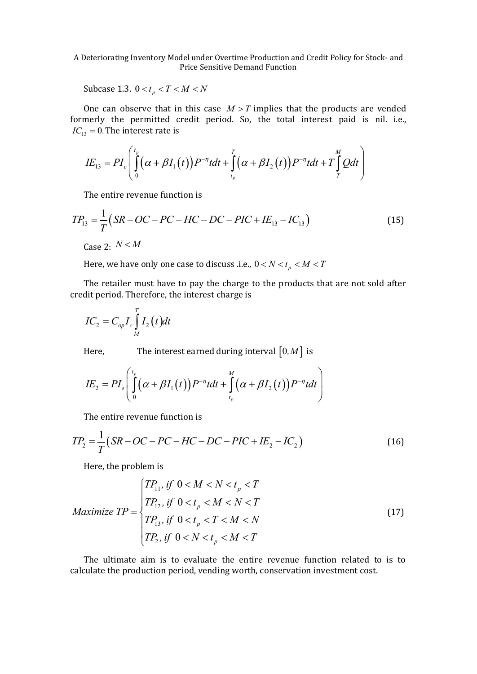Subcase 1.3.  $0 < t_p < T < M < N$ 

One can observe that in this case  $M > T$  implies that the products are vended  $IC_{13} = 0$ . The interest rate is

formerly the permitted credit period. So, the total interest paid is nil. i.e., 
$$
IC_{13} = 0
$$
. The interest rate is\n
$$
IE_{13} = PI_e \left( \int_{0}^{t_p} \left( \alpha + \beta I_1(t) \right) P^{-\eta} t dt + \int_{t_p}^{T} \left( \alpha + \beta I_2(t) \right) P^{-\eta} t dt + T \int_{T}^{M} Q dt \right)
$$

The entire revenue function is

The entire revenue function is  
\n
$$
TP_{13} = \frac{1}{T} (SR - OC - PC - HC - DC - PIC + IE_{13} - IC_{13})
$$
\n(15)

Case 2:  $N < M$ 

 $\overline{a}$ 

Here, we have only one case to discuss .i.e.,  $0 < N < t_{p} < M < T$ 

The retailer must have to pay the charge to the products that are not sold after credit period. Therefore, the interest charge is

$$
IC_2 = C_{op} I_c \int_M^T I_2(t) dt
$$

Here, The interest earned during interval 
$$
[0,M]
$$
 is  
\n
$$
IE_2 = PI_e \left( \int_0^{t_p} (\alpha + \beta I_1(t)) P^{-\eta} t dt + \int_{t_p}^{M} (\alpha + \beta I_2(t)) P^{-\eta} t dt \right)
$$

The entire revenue function is

The entire revenue function is  
\n
$$
TP_2 = \frac{1}{T}(SR - OC - PC - HC - DC - PIC + IE_2 - IC_2)
$$
\n(16)

Here, the problem is

Here, the problem is  
\n
$$
Maximize TP = \begin{cases} TP_{11}, if \ 0 < M < N < t_p < T \\ TP_{12}, if \ 0 < t_p < M < N < T \\ TP_{13}, if \ 0 < t_p < T < M < N \\ TP_{2}, if \ 0 < N < t_p < M < T \end{cases}
$$
\n(17)

The ultimate aim is to evaluate the entire revenue function related to is to calculate the production period, vending worth, conservation investment cost.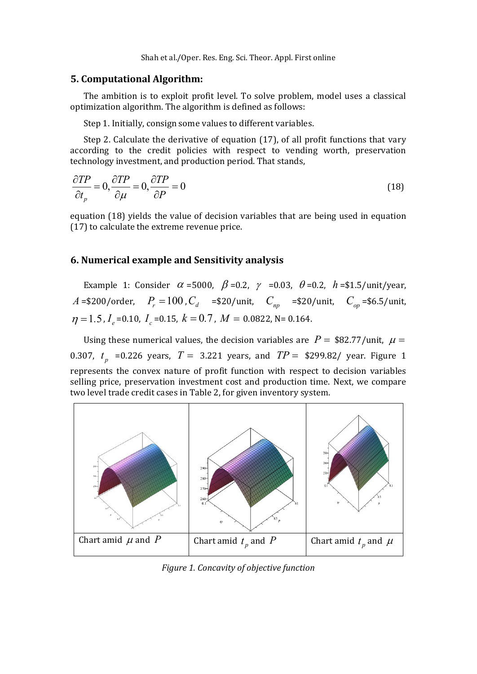Shah et al./Oper. Res. Eng. Sci. Theor. Appl. First online

#### **5. Computational Algorithm:**

The ambition is to exploit profit level. To solve problem, model uses a classical optimization algorithm. The algorithm is defined as follows:

Step 1. Initially, consign some values to different variables.

Step 2. Calculate the derivative of equation (17), of all profit functions that vary according to the credit policies with respect to vending worth, preservation technology investment, and production period. That stands,

$$
\frac{\partial TP}{\partial t_p} = 0, \frac{\partial TP}{\partial \mu} = 0, \frac{\partial TP}{\partial P} = 0
$$
\n(18)

equation (18) yields the value of decision variables that are being used in equation (17) to calculate the extreme revenue price.

## **6. Numerical example and Sensitivity analysis**

Example 1: Consider  $\alpha$  =5000,  $\beta$  =0.2,  $\gamma$  =0.03,  $\theta$  =0.2,  $h$  =\$1.5/unit/year, *A* =\$200/order,  $P_r = 100$ ,  $C_d$  =\$20/unit,  $C_{np}$  =\$20/unit,  $C_{op}$  =\$6.5/unit,  $\eta = 1.5$ ,  $I_e$  = 0.10,  $I_c$  = 0.15,  $k = 0.7$ ,  $M = 0.0822$ , N = 0.164.

Using these numerical values, the decision variables are  $P = $82.77/$ unit,  $\mu =$ 0.307,  $t_p$  =0.226 years,  $T = 3.221$  years, and  $TP = $299.82$ / year. Figure 1 represents the convex nature of profit function with respect to decision variables selling price, preservation investment cost and production time. Next, we compare two level trade credit cases in Table 2, for given inventory system.



*Figure 1. Concavity of objective function*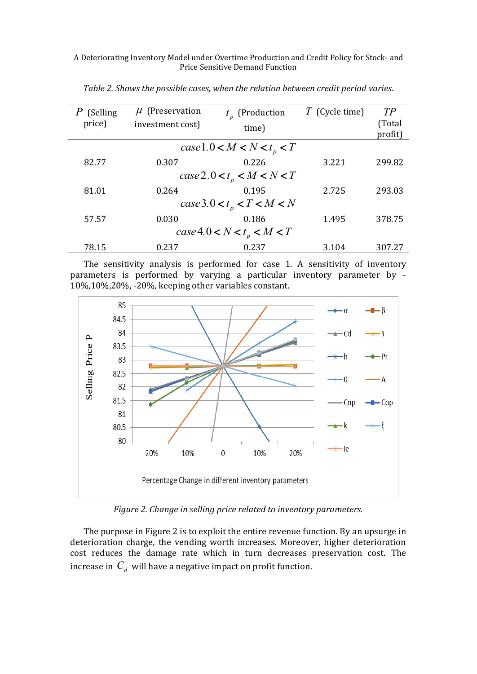| (Selling)<br>price)                  | $\mu$ (Preservation<br>investment cost) | $t_n$ (Production<br>time) | $T$ (Cycle time) | TР<br>(Total<br>profit) |  |  |  |
|--------------------------------------|-----------------------------------------|----------------------------|------------------|-------------------------|--|--|--|
| $case1.0 < M < N < t_{n} < T$        |                                         |                            |                  |                         |  |  |  |
| 82.77                                | 0.307                                   | 0.226                      | 3.221            | 299.82                  |  |  |  |
| case2.0 < t <sub>p</sub> < M < N < T |                                         |                            |                  |                         |  |  |  |
| 81.01                                | 0.264                                   | 0.195                      | 2.725            | 293.03                  |  |  |  |
| case 3.0 < $t_p$ < $T$ < $M$ < $N$   |                                         |                            |                  |                         |  |  |  |
| 57.57                                | 0.030                                   | 0.186                      | 1.495            | 378.75                  |  |  |  |
| $case4.0 < N < t_p < M < T$          |                                         |                            |                  |                         |  |  |  |
| 78.15                                | 0.237                                   | 0.237                      | 3.104            | 307.27                  |  |  |  |

*Table 2. Shows the possible cases, when the relation between credit period varies.*

The sensitivity analysis is performed for case 1. A sensitivity of inventory parameters is performed by varying a particular inventory parameter by - 10%,10%,20%, -20%, keeping other variables constant.



*Figure 2. Change in selling price related to inventory parameters.*

The purpose in Figure 2 is to exploit the entire revenue function. By an upsurge in deterioration charge, the vending worth increases. Moreover, higher deterioration cost reduces the damage rate which in turn decreases preservation cost. The increase in  $\,C^{\,}_{d}\,$  will have a negative impact on profit function.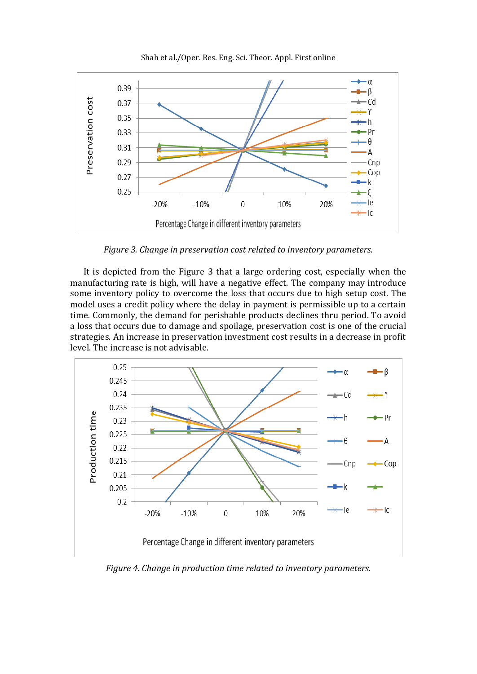

Shah et al./Oper. Res. Eng. Sci. Theor. Appl. First online

*Figure 3. Change in preservation cost related to inventory parameters.*

It is depicted from the Figure 3 that a large ordering cost, especially when the manufacturing rate is high, will have a negative effect. The company may introduce some inventory policy to overcome the loss that occurs due to high setup cost. The model uses a credit policy where the delay in payment is permissible up to a certain time. Commonly, the demand for perishable products declines thru period. To avoid a loss that occurs due to damage and spoilage, preservation cost is one of the crucial strategies. An increase in preservation investment cost results in a decrease in profit level. The increase is not advisable.



*Figure 4. Change in production time related to inventory parameters.*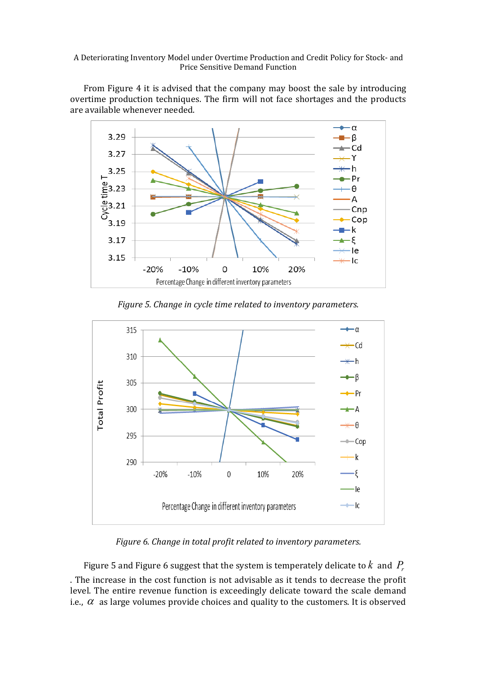From Figure 4 it is advised that the company may boost the sale by introducing overtime production techniques. The firm will not face shortages and the products are available whenever needed.



*Figure 5. Change in cycle time related to inventory parameters.*



*Figure 6. Change in total profit related to inventory parameters.*

Figure 5 and Figure 6 suggest that the system is temperately delicate to  $k$  and  $P_{r}$ . The increase in the cost function is not advisable as it tends to decrease the profit level. The entire revenue function is exceedingly delicate toward the scale demand i.e.,  $\alpha$  as large volumes provide choices and quality to the customers. It is observed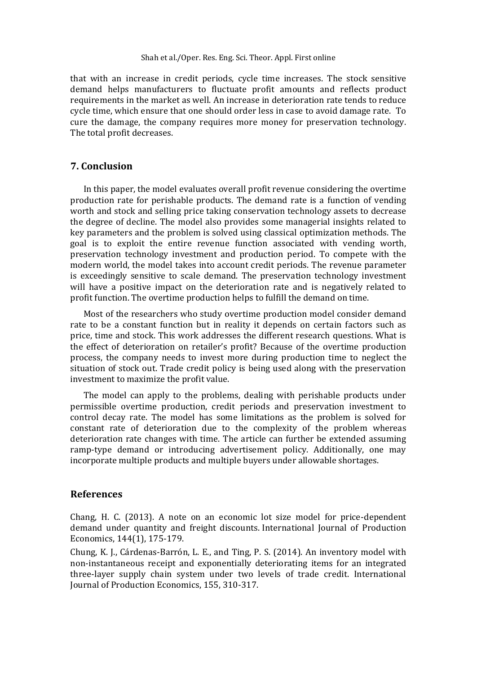that with an increase in credit periods, cycle time increases. The stock sensitive demand helps manufacturers to fluctuate profit amounts and reflects product requirements in the market as well. An increase in deterioration rate tends to reduce cycle time, which ensure that one should order less in case to avoid damage rate. To cure the damage, the company requires more money for preservation technology. The total profit decreases.

## **7. Conclusion**

In this paper, the model evaluates overall profit revenue considering the overtime production rate for perishable products. The demand rate is a function of vending worth and stock and selling price taking conservation technology assets to decrease the degree of decline. The model also provides some managerial insights related to key parameters and the problem is solved using classical optimization methods. The goal is to exploit the entire revenue function associated with vending worth, preservation technology investment and production period. To compete with the modern world, the model takes into account credit periods. The revenue parameter is exceedingly sensitive to scale demand. The preservation technology investment will have a positive impact on the deterioration rate and is negatively related to profit function. The overtime production helps to fulfill the demand on time.

Most of the researchers who study overtime production model consider demand rate to be a constant function but in reality it depends on certain factors such as price, time and stock. This work addresses the different research questions. What is the effect of deterioration on retailer's profit? Because of the overtime production process, the company needs to invest more during production time to neglect the situation of stock out. Trade credit policy is being used along with the preservation investment to maximize the profit value.

The model can apply to the problems, dealing with perishable products under permissible overtime production, credit periods and preservation investment to control decay rate. The model has some limitations as the problem is solved for constant rate of deterioration due to the complexity of the problem whereas deterioration rate changes with time. The article can further be extended assuming ramp-type demand or introducing advertisement policy. Additionally, one may incorporate multiple products and multiple buyers under allowable shortages.

## **References**

Chang, H. C. (2013). A note on an economic lot size model for price-dependent demand under quantity and freight discounts. International Journal of Production Economics, 144(1), 175-179.

Chung, K. J., Cárdenas-Barrón, L. E., and Ting, P. S. (2014). An inventory model with non-instantaneous receipt and exponentially deteriorating items for an integrated three-layer supply chain system under two levels of trade credit. International Journal of Production Economics, 155, 310-317.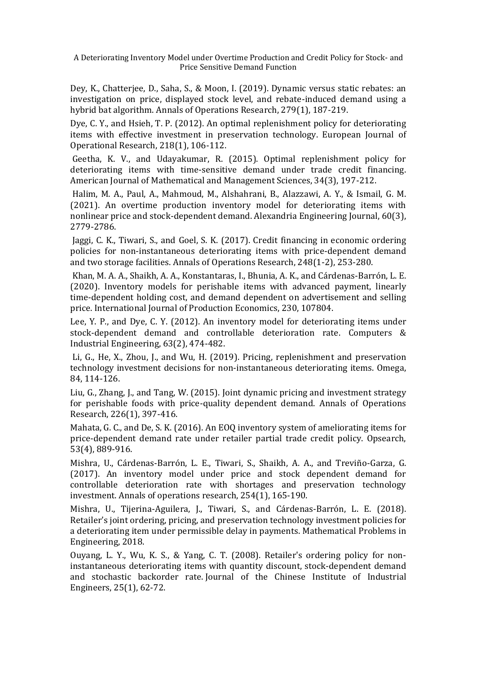Dey, K., Chatterjee, D., Saha, S., & Moon, I. (2019). Dynamic versus static rebates: an investigation on price, displayed stock level, and rebate-induced demand using a hybrid bat algorithm. Annals of Operations Research, 279(1), 187-219.

Dye, C. Y., and Hsieh, T. P. (2012). An optimal replenishment policy for deteriorating items with effective investment in preservation technology. European Journal of Operational Research, 218(1), 106-112.

Geetha, K. V., and Udayakumar, R. (2015). Optimal replenishment policy for deteriorating items with time-sensitive demand under trade credit financing. American Journal of Mathematical and Management Sciences, 34(3), 197-212.

Halim, M. A., Paul, A., Mahmoud, M., Alshahrani, B., Alazzawi, A. Y., & Ismail, G. M. (2021). An overtime production inventory model for deteriorating items with nonlinear price and stock-dependent demand. Alexandria Engineering Journal, 60(3), 2779-2786.

Jaggi, C. K., Tiwari, S., and Goel, S. K. (2017). Credit financing in economic ordering policies for non-instantaneous deteriorating items with price-dependent demand and two storage facilities. Annals of Operations Research, 248(1-2), 253-280.

Khan, M. A. A., Shaikh, A. A., Konstantaras, I., Bhunia, A. K., and Cárdenas-Barrón, L. E. (2020). Inventory models for perishable items with advanced payment, linearly time-dependent holding cost, and demand dependent on advertisement and selling price. International Journal of Production Economics, 230, 107804.

Lee, Y. P., and Dye, C. Y. (2012). An inventory model for deteriorating items under stock-dependent demand and controllable deterioration rate. Computers & Industrial Engineering, 63(2), 474-482.

Li, G., He, X., Zhou, J., and Wu, H. (2019). Pricing, replenishment and preservation technology investment decisions for non-instantaneous deteriorating items. Omega, 84, 114-126.

Liu, G., Zhang, J., and Tang, W. (2015). Joint dynamic pricing and investment strategy for perishable foods with price-quality dependent demand. Annals of Operations Research, 226(1), 397-416.

Mahata, G. C., and De, S. K. (2016). An EOQ inventory system of ameliorating items for price-dependent demand rate under retailer partial trade credit policy. Opsearch, 53(4), 889-916.

Mishra, U., Cárdenas-Barrón, L. E., Tiwari, S., Shaikh, A. A., and Treviño-Garza, G. (2017). An inventory model under price and stock dependent demand for controllable deterioration rate with shortages and preservation technology investment. Annals of operations research, 254(1), 165-190.

Mishra, U., Tijerina-Aguilera, J., Tiwari, S., and Cárdenas-Barrón, L. E. (2018). Retailer's joint ordering, pricing, and preservation technology investment policies for a deteriorating item under permissible delay in payments. Mathematical Problems in Engineering, 2018.

Ouyang, L. Y., Wu, K. S., & Yang, C. T. (2008). Retailer's ordering policy for noninstantaneous deteriorating items with quantity discount, stock-dependent demand and stochastic backorder rate. Journal of the Chinese Institute of Industrial Engineers, 25(1), 62-72.